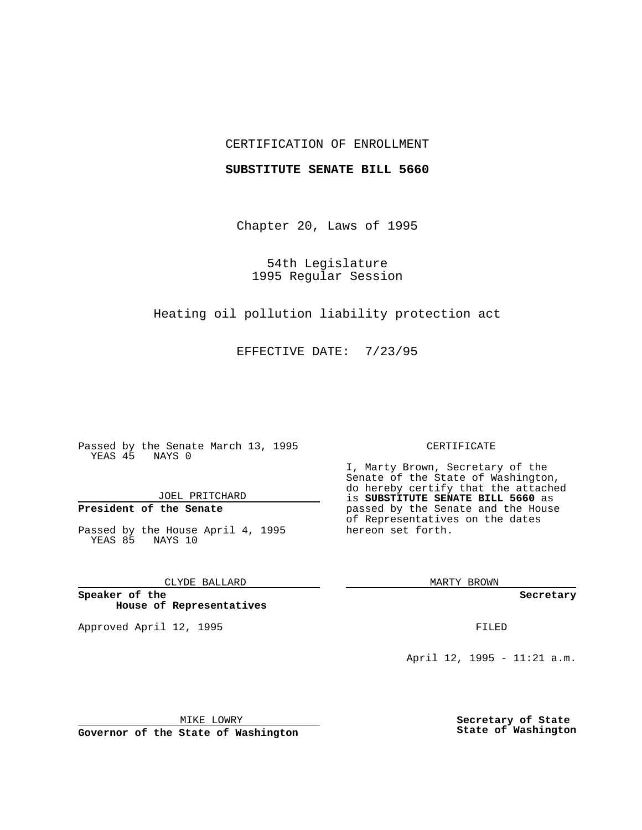### CERTIFICATION OF ENROLLMENT

### **SUBSTITUTE SENATE BILL 5660**

Chapter 20, Laws of 1995

54th Legislature 1995 Regular Session

Heating oil pollution liability protection act

EFFECTIVE DATE: 7/23/95

Passed by the Senate March 13, 1995 YEAS 45 NAYS 0

JOEL PRITCHARD

# **President of the Senate**

Passed by the House April 4, 1995 YEAS 85 NAYS 10

CLYDE BALLARD

**Speaker of the House of Representatives**

Approved April 12, 1995 FILED

#### CERTIFICATE

I, Marty Brown, Secretary of the Senate of the State of Washington, do hereby certify that the attached is **SUBSTITUTE SENATE BILL 5660** as passed by the Senate and the House of Representatives on the dates hereon set forth.

MARTY BROWN

**Secretary**

April 12, 1995 - 11:21 a.m.

MIKE LOWRY

**Secretary of State State of Washington**

**Governor of the State of Washington**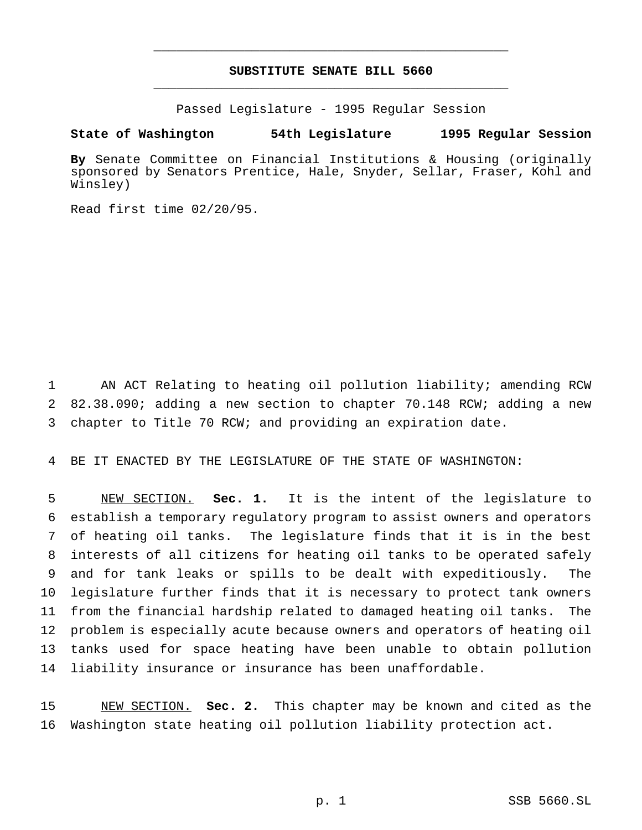## **SUBSTITUTE SENATE BILL 5660** \_\_\_\_\_\_\_\_\_\_\_\_\_\_\_\_\_\_\_\_\_\_\_\_\_\_\_\_\_\_\_\_\_\_\_\_\_\_\_\_\_\_\_\_\_\_\_

\_\_\_\_\_\_\_\_\_\_\_\_\_\_\_\_\_\_\_\_\_\_\_\_\_\_\_\_\_\_\_\_\_\_\_\_\_\_\_\_\_\_\_\_\_\_\_

Passed Legislature - 1995 Regular Session

### **State of Washington 54th Legislature 1995 Regular Session**

**By** Senate Committee on Financial Institutions & Housing (originally sponsored by Senators Prentice, Hale, Snyder, Sellar, Fraser, Kohl and Winsley)

Read first time 02/20/95.

 AN ACT Relating to heating oil pollution liability; amending RCW 82.38.090; adding a new section to chapter 70.148 RCW; adding a new chapter to Title 70 RCW; and providing an expiration date.

BE IT ENACTED BY THE LEGISLATURE OF THE STATE OF WASHINGTON:

 NEW SECTION. **Sec. 1.** It is the intent of the legislature to establish a temporary regulatory program to assist owners and operators of heating oil tanks. The legislature finds that it is in the best interests of all citizens for heating oil tanks to be operated safely and for tank leaks or spills to be dealt with expeditiously. The legislature further finds that it is necessary to protect tank owners from the financial hardship related to damaged heating oil tanks. The problem is especially acute because owners and operators of heating oil tanks used for space heating have been unable to obtain pollution liability insurance or insurance has been unaffordable.

 NEW SECTION. **Sec. 2.** This chapter may be known and cited as the Washington state heating oil pollution liability protection act.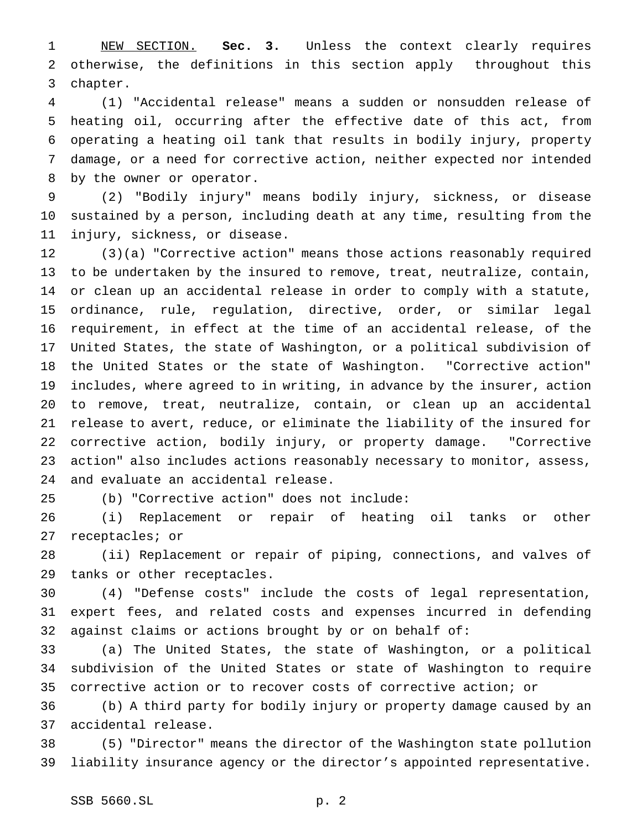NEW SECTION. **Sec. 3.** Unless the context clearly requires otherwise, the definitions in this section apply throughout this chapter.

 (1) "Accidental release" means a sudden or nonsudden release of heating oil, occurring after the effective date of this act, from operating a heating oil tank that results in bodily injury, property damage, or a need for corrective action, neither expected nor intended by the owner or operator.

 (2) "Bodily injury" means bodily injury, sickness, or disease sustained by a person, including death at any time, resulting from the injury, sickness, or disease.

 (3)(a) "Corrective action" means those actions reasonably required to be undertaken by the insured to remove, treat, neutralize, contain, or clean up an accidental release in order to comply with a statute, ordinance, rule, regulation, directive, order, or similar legal requirement, in effect at the time of an accidental release, of the United States, the state of Washington, or a political subdivision of the United States or the state of Washington. "Corrective action" includes, where agreed to in writing, in advance by the insurer, action to remove, treat, neutralize, contain, or clean up an accidental release to avert, reduce, or eliminate the liability of the insured for corrective action, bodily injury, or property damage. "Corrective action" also includes actions reasonably necessary to monitor, assess, and evaluate an accidental release.

(b) "Corrective action" does not include:

 (i) Replacement or repair of heating oil tanks or other receptacles; or

 (ii) Replacement or repair of piping, connections, and valves of tanks or other receptacles.

 (4) "Defense costs" include the costs of legal representation, expert fees, and related costs and expenses incurred in defending against claims or actions brought by or on behalf of:

 (a) The United States, the state of Washington, or a political subdivision of the United States or state of Washington to require corrective action or to recover costs of corrective action; or

 (b) A third party for bodily injury or property damage caused by an accidental release.

 (5) "Director" means the director of the Washington state pollution liability insurance agency or the director's appointed representative.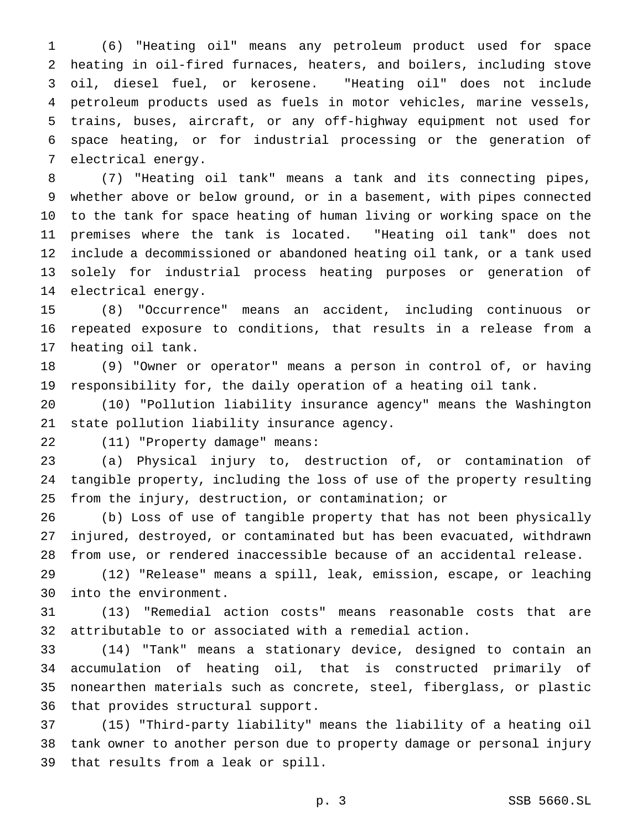(6) "Heating oil" means any petroleum product used for space heating in oil-fired furnaces, heaters, and boilers, including stove oil, diesel fuel, or kerosene. "Heating oil" does not include petroleum products used as fuels in motor vehicles, marine vessels, trains, buses, aircraft, or any off-highway equipment not used for space heating, or for industrial processing or the generation of electrical energy.

 (7) "Heating oil tank" means a tank and its connecting pipes, whether above or below ground, or in a basement, with pipes connected to the tank for space heating of human living or working space on the premises where the tank is located. "Heating oil tank" does not include a decommissioned or abandoned heating oil tank, or a tank used solely for industrial process heating purposes or generation of electrical energy.

 (8) "Occurrence" means an accident, including continuous or repeated exposure to conditions, that results in a release from a heating oil tank.

 (9) "Owner or operator" means a person in control of, or having responsibility for, the daily operation of a heating oil tank.

 (10) "Pollution liability insurance agency" means the Washington state pollution liability insurance agency.

(11) "Property damage" means:

 (a) Physical injury to, destruction of, or contamination of tangible property, including the loss of use of the property resulting from the injury, destruction, or contamination; or

 (b) Loss of use of tangible property that has not been physically injured, destroyed, or contaminated but has been evacuated, withdrawn from use, or rendered inaccessible because of an accidental release.

 (12) "Release" means a spill, leak, emission, escape, or leaching into the environment.

 (13) "Remedial action costs" means reasonable costs that are attributable to or associated with a remedial action.

 (14) "Tank" means a stationary device, designed to contain an accumulation of heating oil, that is constructed primarily of nonearthen materials such as concrete, steel, fiberglass, or plastic that provides structural support.

 (15) "Third-party liability" means the liability of a heating oil tank owner to another person due to property damage or personal injury that results from a leak or spill.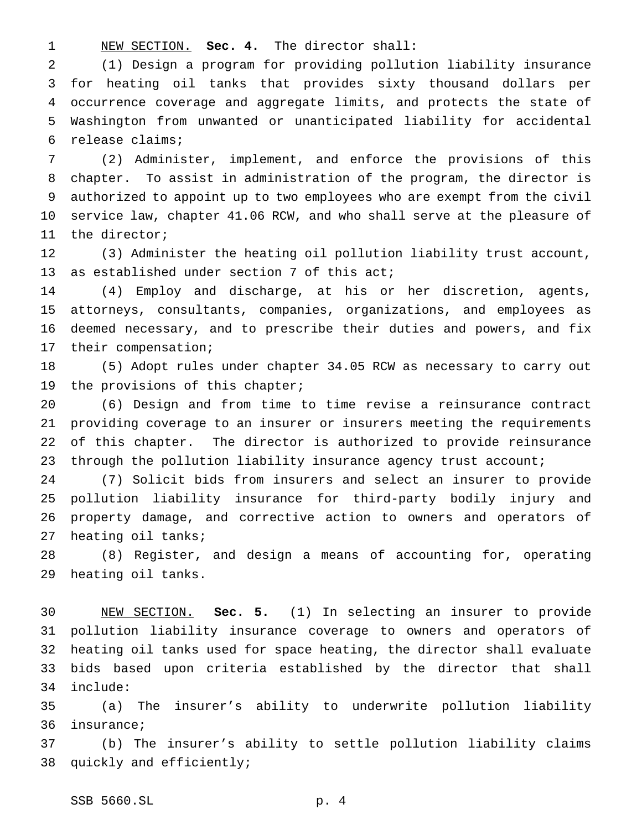NEW SECTION. **Sec. 4.** The director shall:

 (1) Design a program for providing pollution liability insurance for heating oil tanks that provides sixty thousand dollars per occurrence coverage and aggregate limits, and protects the state of Washington from unwanted or unanticipated liability for accidental release claims;

 (2) Administer, implement, and enforce the provisions of this chapter. To assist in administration of the program, the director is authorized to appoint up to two employees who are exempt from the civil service law, chapter 41.06 RCW, and who shall serve at the pleasure of the director;

 (3) Administer the heating oil pollution liability trust account, 13 as established under section 7 of this act;

 (4) Employ and discharge, at his or her discretion, agents, attorneys, consultants, companies, organizations, and employees as deemed necessary, and to prescribe their duties and powers, and fix their compensation;

 (5) Adopt rules under chapter 34.05 RCW as necessary to carry out the provisions of this chapter;

 (6) Design and from time to time revise a reinsurance contract providing coverage to an insurer or insurers meeting the requirements of this chapter. The director is authorized to provide reinsurance through the pollution liability insurance agency trust account;

 (7) Solicit bids from insurers and select an insurer to provide pollution liability insurance for third-party bodily injury and property damage, and corrective action to owners and operators of heating oil tanks;

 (8) Register, and design a means of accounting for, operating heating oil tanks.

 NEW SECTION. **Sec. 5.** (1) In selecting an insurer to provide pollution liability insurance coverage to owners and operators of heating oil tanks used for space heating, the director shall evaluate bids based upon criteria established by the director that shall include:

 (a) The insurer's ability to underwrite pollution liability insurance;

 (b) The insurer's ability to settle pollution liability claims quickly and efficiently;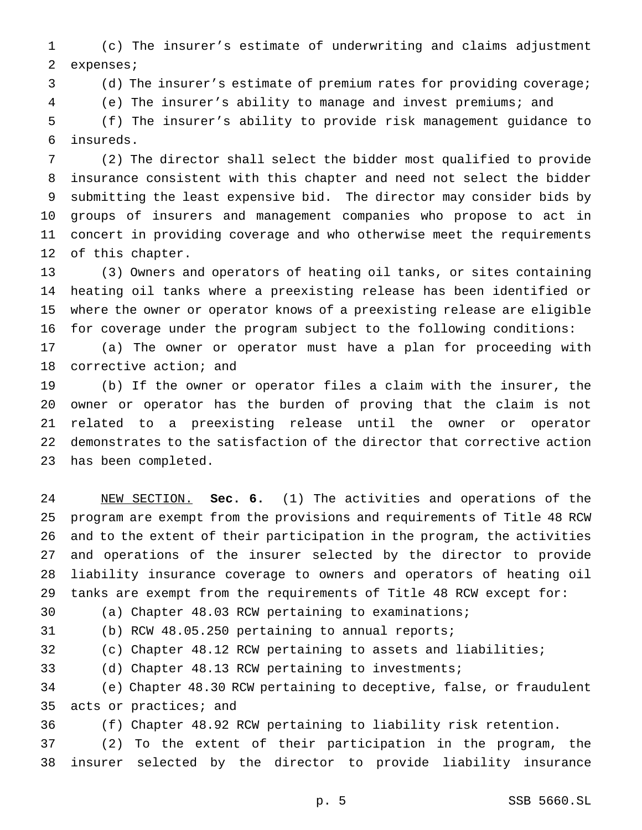(c) The insurer's estimate of underwriting and claims adjustment expenses;

(d) The insurer's estimate of premium rates for providing coverage;

(e) The insurer's ability to manage and invest premiums; and

 (f) The insurer's ability to provide risk management guidance to insureds.

 (2) The director shall select the bidder most qualified to provide insurance consistent with this chapter and need not select the bidder submitting the least expensive bid. The director may consider bids by groups of insurers and management companies who propose to act in concert in providing coverage and who otherwise meet the requirements of this chapter.

 (3) Owners and operators of heating oil tanks, or sites containing heating oil tanks where a preexisting release has been identified or where the owner or operator knows of a preexisting release are eligible for coverage under the program subject to the following conditions:

 (a) The owner or operator must have a plan for proceeding with corrective action; and

 (b) If the owner or operator files a claim with the insurer, the owner or operator has the burden of proving that the claim is not related to a preexisting release until the owner or operator demonstrates to the satisfaction of the director that corrective action has been completed.

 NEW SECTION. **Sec. 6.** (1) The activities and operations of the program are exempt from the provisions and requirements of Title 48 RCW and to the extent of their participation in the program, the activities and operations of the insurer selected by the director to provide liability insurance coverage to owners and operators of heating oil tanks are exempt from the requirements of Title 48 RCW except for:

(a) Chapter 48.03 RCW pertaining to examinations;

(b) RCW 48.05.250 pertaining to annual reports;

(c) Chapter 48.12 RCW pertaining to assets and liabilities;

(d) Chapter 48.13 RCW pertaining to investments;

 (e) Chapter 48.30 RCW pertaining to deceptive, false, or fraudulent acts or practices; and

(f) Chapter 48.92 RCW pertaining to liability risk retention.

 (2) To the extent of their participation in the program, the insurer selected by the director to provide liability insurance

p. 5 SSB 5660.SL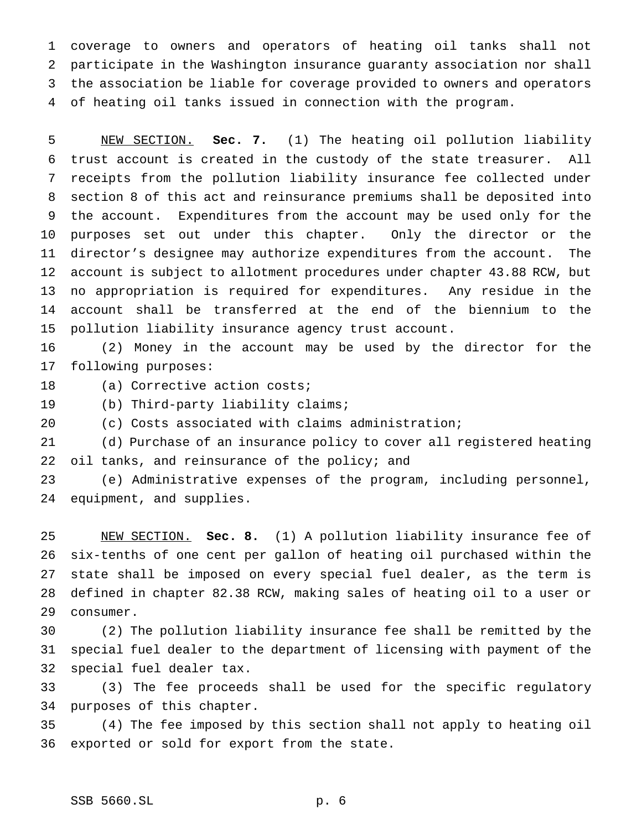coverage to owners and operators of heating oil tanks shall not participate in the Washington insurance guaranty association nor shall the association be liable for coverage provided to owners and operators of heating oil tanks issued in connection with the program.

 NEW SECTION. **Sec. 7.** (1) The heating oil pollution liability trust account is created in the custody of the state treasurer. All receipts from the pollution liability insurance fee collected under section 8 of this act and reinsurance premiums shall be deposited into the account. Expenditures from the account may be used only for the purposes set out under this chapter. Only the director or the director's designee may authorize expenditures from the account. The account is subject to allotment procedures under chapter 43.88 RCW, but no appropriation is required for expenditures. Any residue in the account shall be transferred at the end of the biennium to the pollution liability insurance agency trust account.

 (2) Money in the account may be used by the director for the following purposes:

18 (a) Corrective action costs;

(b) Third-party liability claims;

(c) Costs associated with claims administration;

 (d) Purchase of an insurance policy to cover all registered heating 22 oil tanks, and reinsurance of the policy; and

 (e) Administrative expenses of the program, including personnel, equipment, and supplies.

 NEW SECTION. **Sec. 8.** (1) A pollution liability insurance fee of six-tenths of one cent per gallon of heating oil purchased within the state shall be imposed on every special fuel dealer, as the term is defined in chapter 82.38 RCW, making sales of heating oil to a user or consumer.

 (2) The pollution liability insurance fee shall be remitted by the special fuel dealer to the department of licensing with payment of the special fuel dealer tax.

 (3) The fee proceeds shall be used for the specific regulatory purposes of this chapter.

 (4) The fee imposed by this section shall not apply to heating oil exported or sold for export from the state.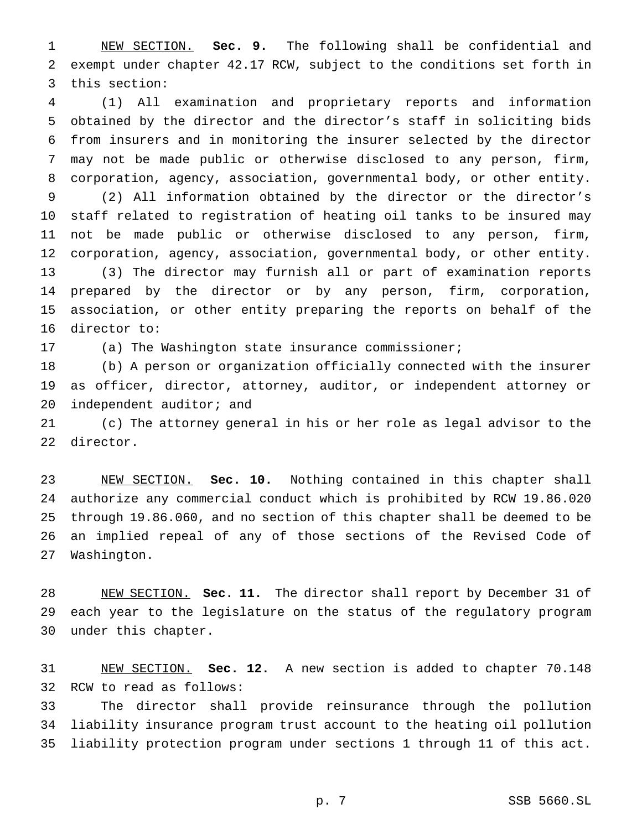NEW SECTION. **Sec. 9.** The following shall be confidential and exempt under chapter 42.17 RCW, subject to the conditions set forth in this section:

 (1) All examination and proprietary reports and information obtained by the director and the director's staff in soliciting bids from insurers and in monitoring the insurer selected by the director may not be made public or otherwise disclosed to any person, firm, corporation, agency, association, governmental body, or other entity. (2) All information obtained by the director or the director's staff related to registration of heating oil tanks to be insured may not be made public or otherwise disclosed to any person, firm, corporation, agency, association, governmental body, or other entity. (3) The director may furnish all or part of examination reports prepared by the director or by any person, firm, corporation, association, or other entity preparing the reports on behalf of the director to:

(a) The Washington state insurance commissioner;

 (b) A person or organization officially connected with the insurer as officer, director, attorney, auditor, or independent attorney or independent auditor; and

 (c) The attorney general in his or her role as legal advisor to the director.

 NEW SECTION. **Sec. 10.** Nothing contained in this chapter shall authorize any commercial conduct which is prohibited by RCW 19.86.020 through 19.86.060, and no section of this chapter shall be deemed to be an implied repeal of any of those sections of the Revised Code of Washington.

 NEW SECTION. **Sec. 11.** The director shall report by December 31 of each year to the legislature on the status of the regulatory program under this chapter.

 NEW SECTION. **Sec. 12.** A new section is added to chapter 70.148 RCW to read as follows:

 The director shall provide reinsurance through the pollution liability insurance program trust account to the heating oil pollution liability protection program under sections 1 through 11 of this act.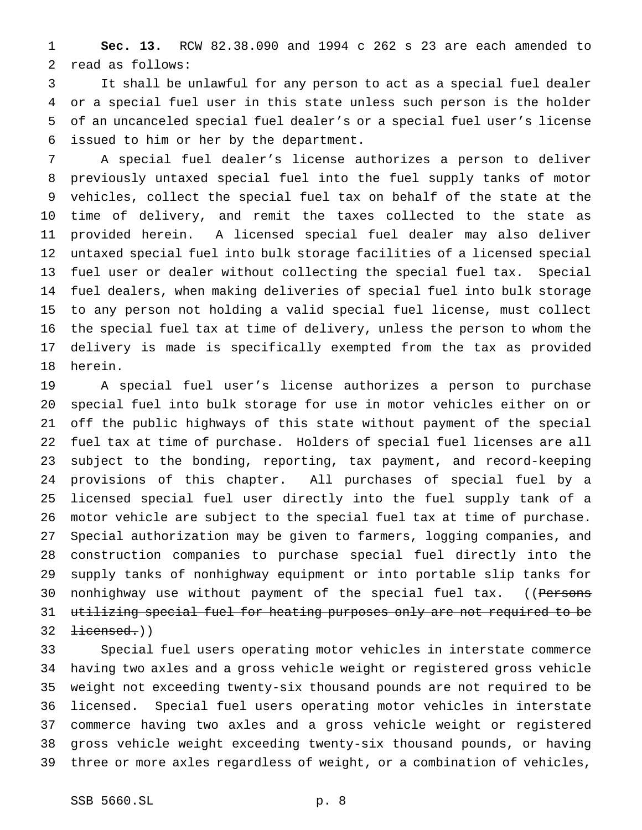**Sec. 13.** RCW 82.38.090 and 1994 c 262 s 23 are each amended to read as follows:

 It shall be unlawful for any person to act as a special fuel dealer or a special fuel user in this state unless such person is the holder of an uncanceled special fuel dealer's or a special fuel user's license issued to him or her by the department.

 A special fuel dealer's license authorizes a person to deliver previously untaxed special fuel into the fuel supply tanks of motor vehicles, collect the special fuel tax on behalf of the state at the time of delivery, and remit the taxes collected to the state as provided herein. A licensed special fuel dealer may also deliver untaxed special fuel into bulk storage facilities of a licensed special fuel user or dealer without collecting the special fuel tax. Special fuel dealers, when making deliveries of special fuel into bulk storage to any person not holding a valid special fuel license, must collect the special fuel tax at time of delivery, unless the person to whom the delivery is made is specifically exempted from the tax as provided herein.

 A special fuel user's license authorizes a person to purchase special fuel into bulk storage for use in motor vehicles either on or off the public highways of this state without payment of the special fuel tax at time of purchase. Holders of special fuel licenses are all subject to the bonding, reporting, tax payment, and record-keeping provisions of this chapter. All purchases of special fuel by a licensed special fuel user directly into the fuel supply tank of a motor vehicle are subject to the special fuel tax at time of purchase. Special authorization may be given to farmers, logging companies, and construction companies to purchase special fuel directly into the supply tanks of nonhighway equipment or into portable slip tanks for 30 nonhighway use without payment of the special fuel tax. ((Persons utilizing special fuel for heating purposes only are not required to be  $32 \text{ }$   $\pm i$  censed.)

 Special fuel users operating motor vehicles in interstate commerce having two axles and a gross vehicle weight or registered gross vehicle weight not exceeding twenty-six thousand pounds are not required to be licensed. Special fuel users operating motor vehicles in interstate commerce having two axles and a gross vehicle weight or registered gross vehicle weight exceeding twenty-six thousand pounds, or having three or more axles regardless of weight, or a combination of vehicles,